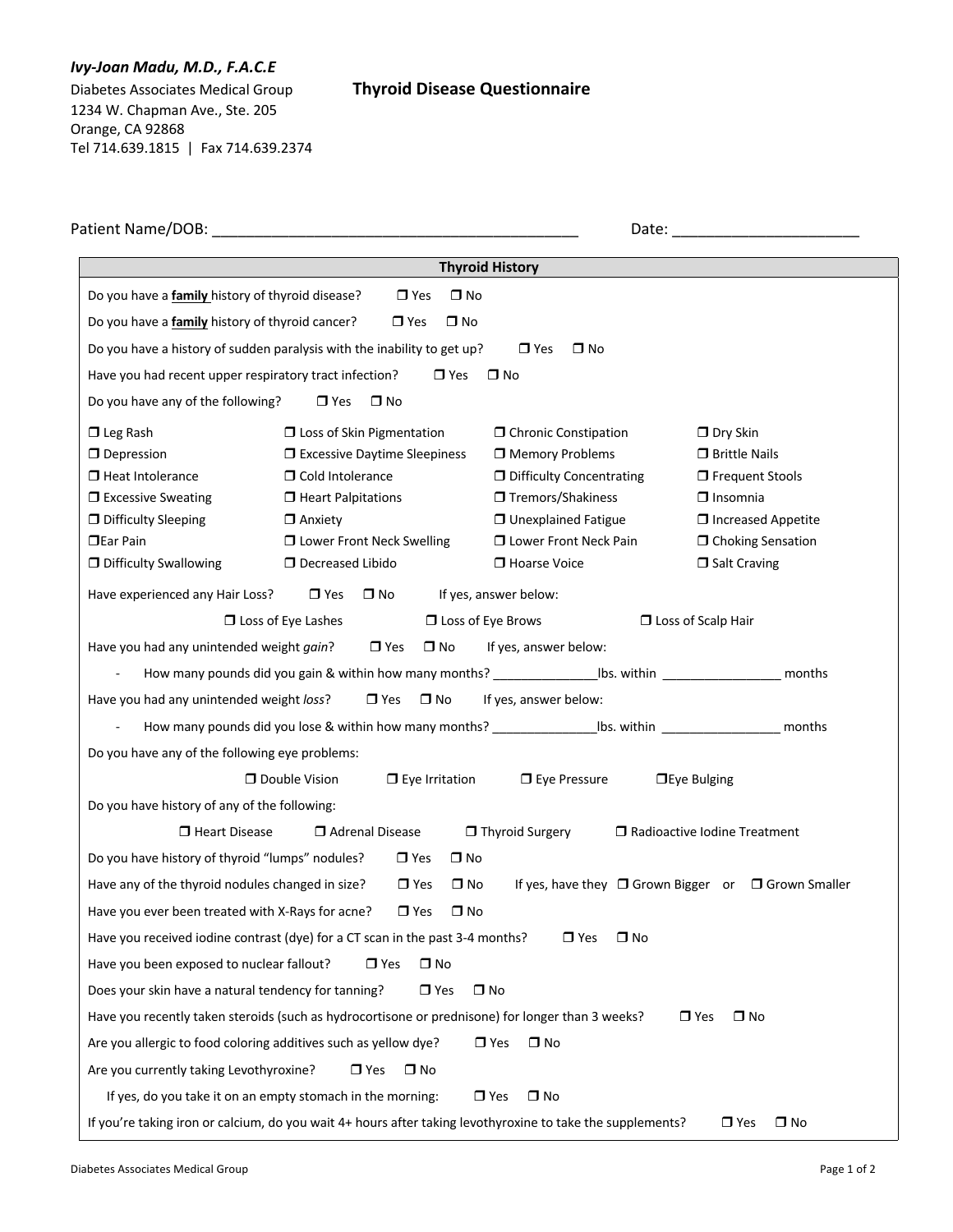## *Ivy-Joan Madu, M.D., F.A.C.E*

1234 W. Chapman Ave., Ste. 205 Orange, CA 92868 Tel 714.639.1815 | Fax 714.639.2374

## Diabetes Associates Medical Group **Thyroid Disease Questionnaire**

| Patient Name/DOB:                                      |                                                                                                            |                                   | Date:                                               |  |  |
|--------------------------------------------------------|------------------------------------------------------------------------------------------------------------|-----------------------------------|-----------------------------------------------------|--|--|
|                                                        |                                                                                                            | <b>Thyroid History</b>            |                                                     |  |  |
| Do you have a family history of thyroid disease?       | $\Box$ Yes<br>$\square$ No                                                                                 |                                   |                                                     |  |  |
| Do you have a <b>family</b> history of thyroid cancer? | $\Box$ Yes<br>$\square$ No                                                                                 |                                   |                                                     |  |  |
|                                                        | Do you have a history of sudden paralysis with the inability to get up?                                    | $\Box$ No<br>$\Box$ Yes           |                                                     |  |  |
| Have you had recent upper respiratory tract infection? | $\Box$ Yes                                                                                                 | $\square$ No                      |                                                     |  |  |
| Do you have any of the following?                      | $\Box$ Yes<br>$\square$ No                                                                                 |                                   |                                                     |  |  |
| $\Box$ Leg Rash                                        | $\Box$ Loss of Skin Pigmentation                                                                           | <b>O</b> Chronic Constipation     | $\Box$ Dry Skin                                     |  |  |
| $\Box$ Depression                                      | $\Box$ Excessive Daytime Sleepiness                                                                        | Memory Problems                   | $\Box$ Brittle Nails                                |  |  |
| □ Heat Intolerance                                     | <b>O</b> Cold Intolerance                                                                                  | <b>D</b> Difficulty Concentrating | $\Box$ Frequent Stools                              |  |  |
| $\Box$ Excessive Sweating                              | $\Box$ Heart Palpitations                                                                                  | □ Tremors/Shakiness               | $\Box$ Insomnia                                     |  |  |
| <b>D</b> Difficulty Sleeping                           | $\Box$ Anxiety                                                                                             | □ Unexplained Fatigue             | $\Box$ Increased Appetite                           |  |  |
| $\Box$ Ear Pain                                        | <b>ID</b> Lower Front Neck Swelling                                                                        | <b>I</b> Lower Front Neck Pain    | □ Choking Sensation                                 |  |  |
| <b>D</b> Difficulty Swallowing                         | D Decreased Libido                                                                                         | Hoarse Voice                      | $\Box$ Salt Craving                                 |  |  |
| Have experienced any Hair Loss?                        | $\Box$ Yes                                                                                                 | If yes, answer below:             |                                                     |  |  |
|                                                        | $\square$ No<br>$\Box$ Loss of Eye Lashes                                                                  | $\Box$ Loss of Eye Brows          |                                                     |  |  |
| Have you had any unintended weight gain?               | $\Box$ Yes<br>$\square$ No                                                                                 | If yes, answer below:             | $\Box$ Loss of Scalp Hair                           |  |  |
|                                                        |                                                                                                            |                                   |                                                     |  |  |
|                                                        | How many pounds did you gain & within how many months? In this within                                      |                                   | months                                              |  |  |
| Have you had any unintended weight loss?               | $\Box$ Yes<br>$\square$ No                                                                                 | If yes, answer below:             |                                                     |  |  |
|                                                        | How many pounds did you lose & within how many months? __________________bs. within ________________       |                                   | months                                              |  |  |
| Do you have any of the following eye problems:         |                                                                                                            |                                   |                                                     |  |  |
|                                                        | Double Vision<br>$\Box$ Eye Irritation                                                                     | $\square$ Eye Pressure            | $\Box$ Eye Bulging                                  |  |  |
| Do you have history of any of the following:           |                                                                                                            |                                   |                                                     |  |  |
| Heart Disease                                          | Adrenal Disease                                                                                            | Thyroid Surgery                   | $\Box$ Radioactive Iodine Treatment                 |  |  |
| Do you have history of thyroid "lumps" nodules?        | $\square$ No<br>$\Box$ Yes                                                                                 |                                   |                                                     |  |  |
| Have any of the thyroid nodules changed in size?       | $\Box$ Yes<br>$\square$ No                                                                                 |                                   | If yes, have they □ Grown Bigger or □ Grown Smaller |  |  |
| Have you ever been treated with X-Rays for acne?       | $\Box$ Yes<br>$\Box$ No                                                                                    |                                   |                                                     |  |  |
|                                                        | Have you received iodine contrast (dye) for a CT scan in the past 3-4 months?                              | $\Box$ Yes<br>□ No                |                                                     |  |  |
| Have you been exposed to nuclear fallout?              | $\Box$ Yes<br>$\square$ No                                                                                 |                                   |                                                     |  |  |
| Does your skin have a natural tendency for tanning?    | $\Box$ Yes                                                                                                 | $\Box$ No                         |                                                     |  |  |
|                                                        | Have you recently taken steroids (such as hydrocortisone or prednisone) for longer than 3 weeks?           |                                   | $\Box$ Yes<br>$\square$ No                          |  |  |
|                                                        | Are you allergic to food coloring additives such as yellow dye?                                            | $\Box$ Yes<br>$\square$ No        |                                                     |  |  |
| Are you currently taking Levothyroxine?                | $\Box$ Yes<br>$\square$ No                                                                                 |                                   |                                                     |  |  |
|                                                        | If yes, do you take it on an empty stomach in the morning:                                                 | $\Box$ No<br>$\Box$ Yes           |                                                     |  |  |
|                                                        | If you're taking iron or calcium, do you wait 4+ hours after taking levothyroxine to take the supplements? |                                   | $\square$ No<br>$\Box$ Yes                          |  |  |
|                                                        |                                                                                                            |                                   |                                                     |  |  |